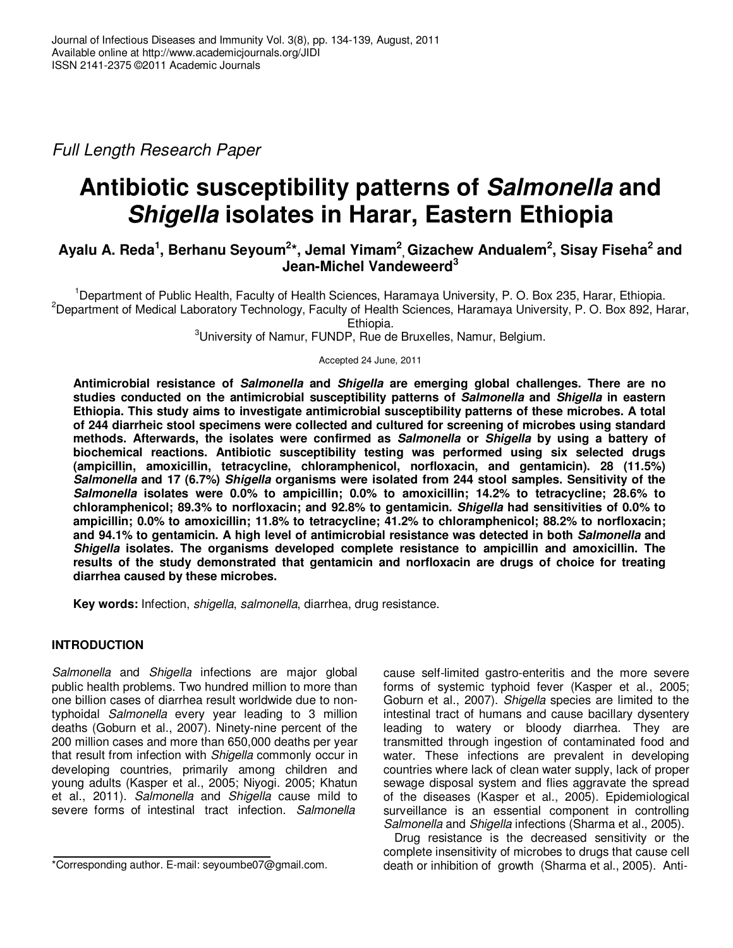Full Length Research Paper

# **Antibiotic susceptibility patterns of Salmonella and Shigella isolates in Harar, Eastern Ethiopia**

# $A$ yalu A. Reda<sup>1</sup>, Berhanu Seyoum<sup>2</sup>\*, Jemal Yimam<sup>2</sup>, Gizachew Andualem<sup>2</sup>, Sisay Fiseha<sup>2</sup> and **Jean-Michel Vandeweerd<sup>3</sup>**

<sup>1</sup>Department of Public Health, Faculty of Health Sciences, Haramaya University, P. O. Box 235, Harar, Ethiopia. <sup>2</sup>Department of Medical Laboratory Technology, Faculty of Health Sciences, Haramaya University, P. O. Box 892, Harar, Ethiopia.

<sup>3</sup>University of Namur, FUNDP, Rue de Bruxelles, Namur, Belgium.

Accepted 24 June, 2011

**Antimicrobial resistance of Salmonella and Shigella are emerging global challenges. There are no studies conducted on the antimicrobial susceptibility patterns of Salmonella and Shigella in eastern Ethiopia. This study aims to investigate antimicrobial susceptibility patterns of these microbes. A total of 244 diarrheic stool specimens were collected and cultured for screening of microbes using standard methods. Afterwards, the isolates were confirmed as Salmonella or Shigella by using a battery of biochemical reactions. Antibiotic susceptibility testing was performed using six selected drugs (ampicillin, amoxicillin, tetracycline, chloramphenicol, norfloxacin, and gentamicin). 28 (11.5%) Salmonella and 17 (6.7%) Shigella organisms were isolated from 244 stool samples. Sensitivity of the Salmonella isolates were 0.0% to ampicillin; 0.0% to amoxicillin; 14.2% to tetracycline; 28.6% to chloramphenicol; 89.3% to norfloxacin; and 92.8% to gentamicin. Shigella had sensitivities of 0.0% to ampicillin; 0.0% to amoxicillin; 11.8% to tetracycline; 41.2% to chloramphenicol; 88.2% to norfloxacin; and 94.1% to gentamicin. A high level of antimicrobial resistance was detected in both Salmonella and Shigella isolates. The organisms developed complete resistance to ampicillin and amoxicillin. The results of the study demonstrated that gentamicin and norfloxacin are drugs of choice for treating diarrhea caused by these microbes.** 

**Key words:** Infection, shigella, salmonella, diarrhea, drug resistance.

## **INTRODUCTION**

Salmonella and Shigella infections are major global public health problems. Two hundred million to more than one billion cases of diarrhea result worldwide due to nontyphoidal Salmonella every year leading to 3 million deaths (Goburn et al., 2007). Ninety-nine percent of the 200 million cases and more than 650,000 deaths per year that result from infection with Shigella commonly occur in developing countries, primarily among children and young adults (Kasper et al., 2005; Niyogi. 2005; Khatun et al., 2011). Salmonella and Shigella cause mild to severe forms of intestinal tract infection. Salmonella

cause self-limited gastro-enteritis and the more severe forms of systemic typhoid fever (Kasper et al., 2005; Goburn et al., 2007). Shigella species are limited to the intestinal tract of humans and cause bacillary dysentery leading to watery or bloody diarrhea. They are transmitted through ingestion of contaminated food and water. These infections are prevalent in developing countries where lack of clean water supply, lack of proper sewage disposal system and flies aggravate the spread of the diseases (Kasper et al., 2005). Epidemiological surveillance is an essential component in controlling Salmonella and Shigella infections (Sharma et al., 2005).

Drug resistance is the decreased sensitivity or the complete insensitivity of microbes to drugs that cause cell death or inhibition of growth (Sharma et al., 2005). Anti-

<sup>\*</sup>Corresponding author. E-mail: seyoumbe07@gmail.com.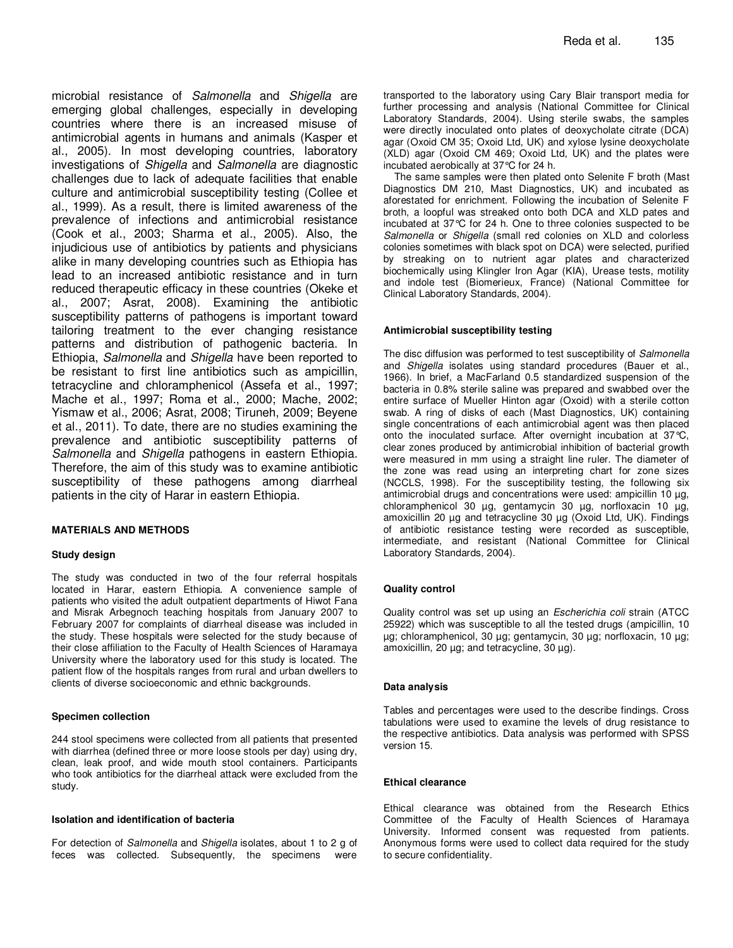microbial resistance of Salmonella and Shigella are emerging global challenges, especially in developing countries where there is an increased misuse of antimicrobial agents in humans and animals (Kasper et al., 2005). In most developing countries, laboratory investigations of Shigella and Salmonella are diagnostic challenges due to lack of adequate facilities that enable culture and antimicrobial susceptibility testing (Collee et al., 1999). As a result, there is limited awareness of the prevalence of infections and antimicrobial resistance (Cook et al., 2003; Sharma et al., 2005). Also, the injudicious use of antibiotics by patients and physicians alike in many developing countries such as Ethiopia has lead to an increased antibiotic resistance and in turn reduced therapeutic efficacy in these countries (Okeke et al., 2007; Asrat, 2008). Examining the antibiotic susceptibility patterns of pathogens is important toward tailoring treatment to the ever changing resistance patterns and distribution of pathogenic bacteria. In Ethiopia, Salmonella and Shigella have been reported to be resistant to first line antibiotics such as ampicillin, tetracycline and chloramphenicol (Assefa et al., 1997; Mache et al., 1997; Roma et al., 2000; Mache, 2002; Yismaw et al., 2006; Asrat, 2008; Tiruneh, 2009; Beyene et al., 2011). To date, there are no studies examining the prevalence and antibiotic susceptibility patterns of Salmonella and Shigella pathogens in eastern Ethiopia. Therefore, the aim of this study was to examine antibiotic susceptibility of these pathogens among diarrheal patients in the city of Harar in eastern Ethiopia.

#### **MATERIALS AND METHODS**

### **Study design**

The study was conducted in two of the four referral hospitals located in Harar, eastern Ethiopia. A convenience sample of patients who visited the adult outpatient departments of Hiwot Fana and Misrak Arbegnoch teaching hospitals from January 2007 to February 2007 for complaints of diarrheal disease was included in the study. These hospitals were selected for the study because of their close affiliation to the Faculty of Health Sciences of Haramaya University where the laboratory used for this study is located. The patient flow of the hospitals ranges from rural and urban dwellers to clients of diverse socioeconomic and ethnic backgrounds.

#### **Specimen collection**

244 stool specimens were collected from all patients that presented with diarrhea (defined three or more loose stools per day) using dry, clean, leak proof, and wide mouth stool containers. Participants who took antibiotics for the diarrheal attack were excluded from the study.

#### **Isolation and identification of bacteria**

For detection of Salmonella and Shigella isolates, about 1 to 2 g of feces was collected. Subsequently, the specimens were

transported to the laboratory using Cary Blair transport media for further processing and analysis (National Committee for Clinical Laboratory Standards, 2004). Using sterile swabs, the samples were directly inoculated onto plates of deoxycholate citrate (DCA) agar (Oxoid CM 35; Oxoid Ltd, UK) and xylose lysine deoxycholate (XLD) agar (Oxoid CM 469; Oxoid Ltd, UK) and the plates were incubated aerobically at 37°C for 24 h.

The same samples were then plated onto Selenite F broth (Mast Diagnostics DM 210, Mast Diagnostics, UK) and incubated as aforestated for enrichment. Following the incubation of Selenite F broth, a loopful was streaked onto both DCA and XLD pates and incubated at 37°C for 24 h. One to three colonies suspected to be Salmonella or Shigella (small red colonies on XLD and colorless colonies sometimes with black spot on DCA) were selected, purified by streaking on to nutrient agar plates and characterized biochemically using Klingler Iron Agar (KIA), Urease tests, motility and indole test (Biomerieux, France) (National Committee for Clinical Laboratory Standards, 2004).

#### **Antimicrobial susceptibility testing**

The disc diffusion was performed to test susceptibility of Salmonella and Shigella isolates using standard procedures (Bauer et al., 1966). In brief, a MacFarland 0.5 standardized suspension of the bacteria in 0.8% sterile saline was prepared and swabbed over the entire surface of Mueller Hinton agar (Oxoid) with a sterile cotton swab. A ring of disks of each (Mast Diagnostics, UK) containing single concentrations of each antimicrobial agent was then placed onto the inoculated surface. After overnight incubation at 37°C, clear zones produced by antimicrobial inhibition of bacterial growth were measured in mm using a straight line ruler. The diameter of the zone was read using an interpreting chart for zone sizes (NCCLS, 1998). For the susceptibility testing, the following six antimicrobial drugs and concentrations were used: ampicillin 10 µg, chloramphenicol 30 µg, gentamycin 30 µg, norfloxacin 10 µg, amoxicillin 20 µg and tetracycline 30 µg (Oxoid Ltd, UK). Findings of antibiotic resistance testing were recorded as susceptible, intermediate, and resistant (National Committee for Clinical Laboratory Standards, 2004).

#### **Quality control**

Quality control was set up using an Escherichia coli strain (ATCC 25922) which was susceptible to all the tested drugs (ampicillin, 10 µg; chloramphenicol, 30 µg; gentamycin, 30 µg; norfloxacin, 10 µg; amoxicillin, 20 µg; and tetracycline, 30 µg).

#### **Data analysis**

Tables and percentages were used to the describe findings. Cross tabulations were used to examine the levels of drug resistance to the respective antibiotics. Data analysis was performed with SPSS version 15.

#### **Ethical clearance**

Ethical clearance was obtained from the Research Ethics Committee of the Faculty of Health Sciences of Haramaya University. Informed consent was requested from patients. Anonymous forms were used to collect data required for the study to secure confidentiality.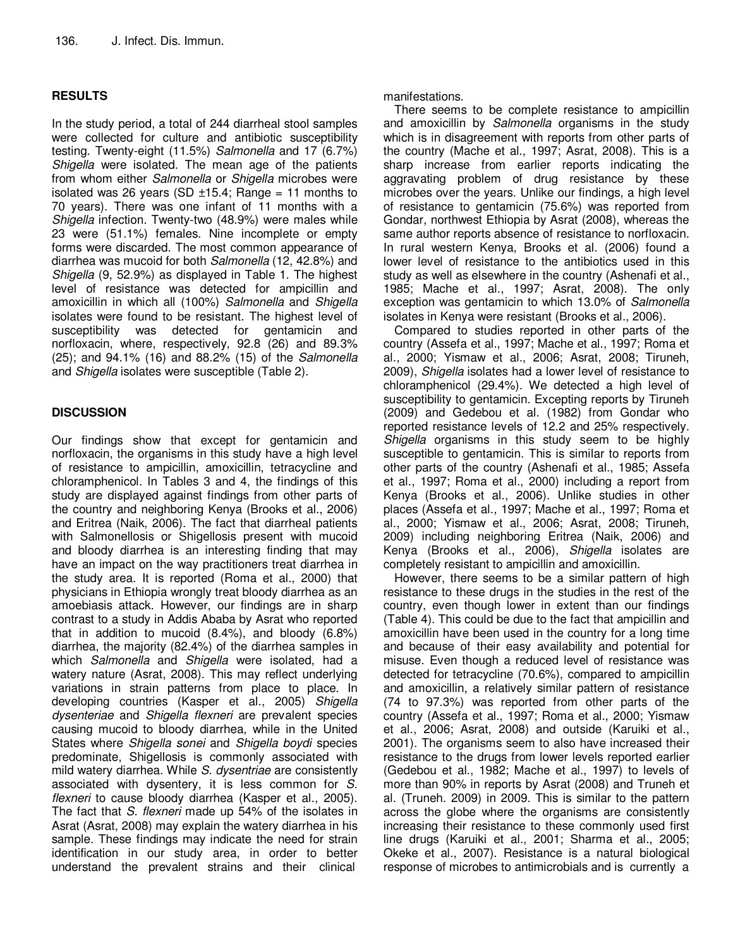## **RESULTS**

In the study period, a total of 244 diarrheal stool samples were collected for culture and antibiotic susceptibility testing. Twenty-eight (11.5%) Salmonella and 17 (6.7%) Shigella were isolated. The mean age of the patients from whom either Salmonella or Shigella microbes were isolated was 26 years (SD  $\pm$ 15.4; Range = 11 months to 70 years). There was one infant of 11 months with a Shigella infection. Twenty-two (48.9%) were males while 23 were (51.1%) females. Nine incomplete or empty forms were discarded. The most common appearance of diarrhea was mucoid for both Salmonella (12, 42.8%) and Shigella (9, 52.9%) as displayed in Table 1. The highest level of resistance was detected for ampicillin and amoxicillin in which all (100%) Salmonella and Shigella isolates were found to be resistant. The highest level of susceptibility was detected for gentamicin and norfloxacin, where, respectively, 92.8 (26) and 89.3% (25); and 94.1% (16) and 88.2% (15) of the Salmonella and Shigella isolates were susceptible (Table 2).

# **DISCUSSION**

Our findings show that except for gentamicin and norfloxacin, the organisms in this study have a high level of resistance to ampicillin, amoxicillin, tetracycline and chloramphenicol. In Tables 3 and 4, the findings of this study are displayed against findings from other parts of the country and neighboring Kenya (Brooks et al., 2006) and Eritrea (Naik, 2006). The fact that diarrheal patients with Salmonellosis or Shigellosis present with mucoid and bloody diarrhea is an interesting finding that may have an impact on the way practitioners treat diarrhea in the study area. It is reported (Roma et al., 2000) that physicians in Ethiopia wrongly treat bloody diarrhea as an amoebiasis attack. However, our findings are in sharp contrast to a study in Addis Ababa by Asrat who reported that in addition to mucoid (8.4%), and bloody (6.8%) diarrhea, the majority (82.4%) of the diarrhea samples in which Salmonella and Shigella were isolated, had a watery nature (Asrat, 2008). This may reflect underlying variations in strain patterns from place to place. In developing countries (Kasper et al., 2005) Shigella dysenteriae and Shigella flexneri are prevalent species causing mucoid to bloody diarrhea, while in the United States where Shigella sonei and Shigella boydi species predominate, Shigellosis is commonly associated with mild watery diarrhea. While S. dysentriae are consistently associated with dysentery, it is less common for S. flexneri to cause bloody diarrhea (Kasper et al., 2005). The fact that S. flexneri made up 54% of the isolates in Asrat (Asrat, 2008) may explain the watery diarrhea in his sample. These findings may indicate the need for strain identification in our study area, in order to better understand the prevalent strains and their clinical

manifestations.

There seems to be complete resistance to ampicillin and amoxicillin by Salmonella organisms in the study which is in disagreement with reports from other parts of the country (Mache et al., 1997; Asrat, 2008). This is a sharp increase from earlier reports indicating the aggravating problem of drug resistance by these microbes over the years. Unlike our findings, a high level of resistance to gentamicin (75.6%) was reported from Gondar, northwest Ethiopia by Asrat (2008), whereas the same author reports absence of resistance to norfloxacin. In rural western Kenya, Brooks et al. (2006) found a lower level of resistance to the antibiotics used in this study as well as elsewhere in the country (Ashenafi et al., 1985; Mache et al., 1997; Asrat, 2008). The only exception was gentamicin to which 13.0% of Salmonella isolates in Kenya were resistant (Brooks et al., 2006).

Compared to studies reported in other parts of the country (Assefa et al., 1997; Mache et al., 1997; Roma et al., 2000; Yismaw et al., 2006; Asrat, 2008; Tiruneh, 2009), Shigella isolates had a lower level of resistance to chloramphenicol (29.4%). We detected a high level of susceptibility to gentamicin. Excepting reports by Tiruneh (2009) and Gedebou et al. (1982) from Gondar who reported resistance levels of 12.2 and 25% respectively. Shigella organisms in this study seem to be highly susceptible to gentamicin. This is similar to reports from other parts of the country (Ashenafi et al., 1985; Assefa et al., 1997; Roma et al., 2000) including a report from Kenya (Brooks et al., 2006). Unlike studies in other places (Assefa et al., 1997; Mache et al., 1997; Roma et al., 2000; Yismaw et al., 2006; Asrat, 2008; Tiruneh, 2009) including neighboring Eritrea (Naik, 2006) and Kenya (Brooks et al., 2006), Shigella isolates are completely resistant to ampicillin and amoxicillin.

However, there seems to be a similar pattern of high resistance to these drugs in the studies in the rest of the country, even though lower in extent than our findings (Table 4). This could be due to the fact that ampicillin and amoxicillin have been used in the country for a long time and because of their easy availability and potential for misuse. Even though a reduced level of resistance was detected for tetracycline (70.6%), compared to ampicillin and amoxicillin, a relatively similar pattern of resistance (74 to 97.3%) was reported from other parts of the country (Assefa et al., 1997; Roma et al., 2000; Yismaw et al., 2006; Asrat, 2008) and outside (Karuiki et al., 2001). The organisms seem to also have increased their resistance to the drugs from lower levels reported earlier (Gedebou et al., 1982; Mache et al., 1997) to levels of more than 90% in reports by Asrat (2008) and Truneh et al. (Truneh. 2009) in 2009. This is similar to the pattern across the globe where the organisms are consistently increasing their resistance to these commonly used first line drugs (Karuiki et al., 2001; Sharma et al., 2005; Okeke et al., 2007). Resistance is a natural biological response of microbes to antimicrobials and is currently a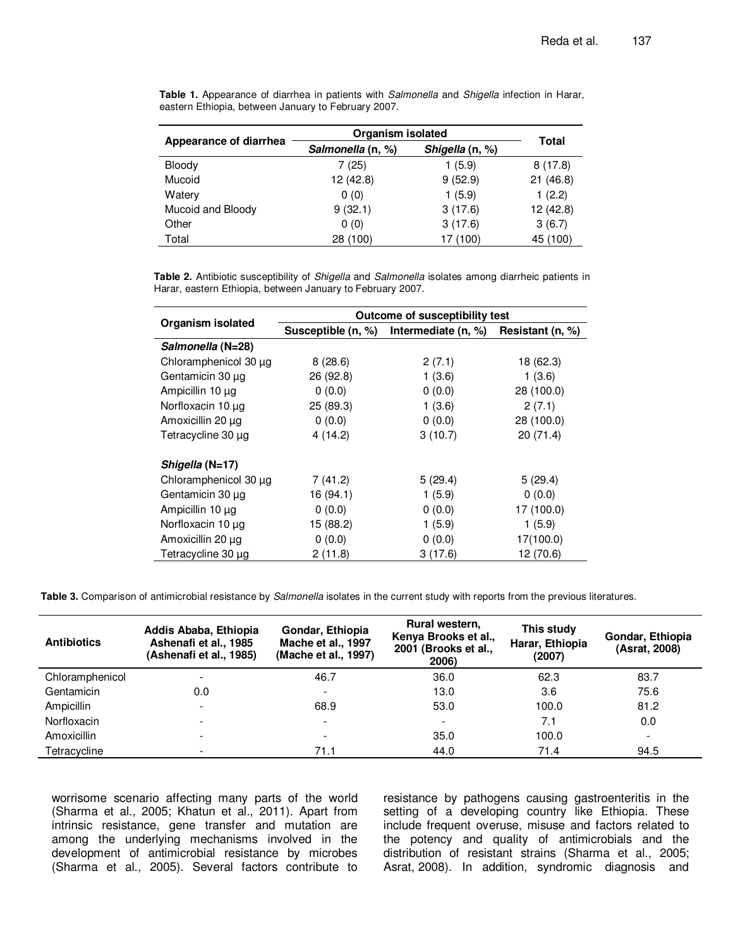|                        | Organism isolated |                 |              |  |
|------------------------|-------------------|-----------------|--------------|--|
| Appearance of diarrhea | Salmonella (n, %) | Shigella (n, %) | <b>Total</b> |  |
| Bloody                 | 7(25)             | 1(5.9)          | 8(17.8)      |  |
| Mucoid                 | 12 (42.8)         | 9(52.9)         | 21(46.8)     |  |
| Watery                 | 0(0)              | 1(5.9)          | 1(2.2)       |  |
| Mucoid and Bloody      | 9(32.1)           | 3(17.6)         | 12 (42.8)    |  |
| Other                  | 0(0)              | 3(17.6)         | 3(6.7)       |  |
| Total                  | 28 (100)          | 17 (100)        | 45 (100)     |  |

Table 1. Appearance of diarrhea in patients with Salmonella and Shigella infection in Harar, eastern Ethiopia, between January to February 2007.

**Table 2.** Antibiotic susceptibility of Shigella and Salmonella isolates among diarrheic patients in Harar, eastern Ethiopia, between January to February 2007.

|                       | Outcome of susceptibility test |                     |                  |  |  |  |  |
|-----------------------|--------------------------------|---------------------|------------------|--|--|--|--|
| Organism isolated     | Susceptible (n, %)             | Intermediate (n, %) | Resistant (n, %) |  |  |  |  |
| Salmonella (N=28)     |                                |                     |                  |  |  |  |  |
| Chloramphenicol 30 µg | 8(28.6)                        | 2(7.1)              | 18 (62.3)        |  |  |  |  |
| Gentamicin 30 µg      | 26(92.8)                       | 1(3.6)              | 1(3.6)           |  |  |  |  |
| Ampicillin 10 µg      | 0(0.0)                         | 0(0.0)              | 28 (100.0)       |  |  |  |  |
| Norfloxacin 10 µg     | 25(89.3)                       | 1(3.6)              | 2(7.1)           |  |  |  |  |
| Amoxicillin 20 µg     | 0(0.0)                         | 0(0.0)              | 28 (100.0)       |  |  |  |  |
| Tetracycline 30 µg    | 4(14.2)                        | 3(10.7)             | 20 (71.4)        |  |  |  |  |
| Shigella (N=17)       |                                |                     |                  |  |  |  |  |
| Chloramphenicol 30 µg | 7(41.2)                        | 5(29.4)             | 5(29.4)          |  |  |  |  |
| Gentamicin 30 µg      | 16 (94.1)                      | 1(5.9)              | 0(0.0)           |  |  |  |  |
| Ampicillin 10 µg      | 0(0.0)                         | 0(0.0)              | 17 (100.0)       |  |  |  |  |
| Norfloxacin 10 µg     | 15 (88.2)                      | 1(5.9)              | 1(5.9)           |  |  |  |  |
| Amoxicillin 20 µg     | 0(0.0)                         | 0(0.0)              | 17(100.0)        |  |  |  |  |
| Tetracycline 30 µg    | 2(11.8)                        | 3(17.6)             | 12 (70.6)        |  |  |  |  |

Table 3. Comparison of antimicrobial resistance by *Salmonella* isolates in the current study with reports from the previous literatures.

| <b>Antibiotics</b> | Addis Ababa, Ethiopia<br>Ashenafi et al., 1985<br>(Ashenafi et al., 1985) | Gondar, Ethiopia<br>Mache et al., 1997<br>(Mache et al., 1997) | Rural western,<br>Kenya Brooks et al.,<br>2001 (Brooks et al.,<br>2006) | This study<br>Harar, Ethiopia<br>(2007) | Gondar, Ethiopia<br>(Asrat, 2008) |
|--------------------|---------------------------------------------------------------------------|----------------------------------------------------------------|-------------------------------------------------------------------------|-----------------------------------------|-----------------------------------|
| Chloramphenicol    | $\overline{\phantom{0}}$                                                  | 46.7                                                           | 36.0                                                                    | 62.3                                    | 83.7                              |
| Gentamicin         | 0.0                                                                       | $\overline{\phantom{a}}$                                       | 13.0                                                                    | 3.6                                     | 75.6                              |
| Ampicillin         | $\overline{\phantom{0}}$                                                  | 68.9                                                           | 53.0                                                                    | 100.0                                   | 81.2                              |
| Norfloxacin        | $\overline{\phantom{a}}$                                                  | $\overline{\phantom{a}}$                                       | $\overline{\phantom{a}}$                                                | 7.1                                     | 0.0                               |
| Amoxicillin        | $\overline{\phantom{a}}$                                                  | $\overline{\phantom{0}}$                                       | 35.0                                                                    | 100.0                                   | $\overline{\phantom{a}}$          |
| Tetracycline       |                                                                           | 71.1                                                           | 44.0                                                                    | 71.4                                    | 94.5                              |

worrisome scenario affecting many parts of the world (Sharma et al., 2005; Khatun et al., 2011). Apart from intrinsic resistance, gene transfer and mutation are among the underlying mechanisms involved in the development of antimicrobial resistance by microbes (Sharma et al., 2005). Several factors contribute to resistance by pathogens causing gastroenteritis in the setting of a developing country like Ethiopia. These include frequent overuse, misuse and factors related to the potency and quality of antimicrobials and the distribution of resistant strains (Sharma et al., 2005; Asrat, 2008). In addition, syndromic diagnosis and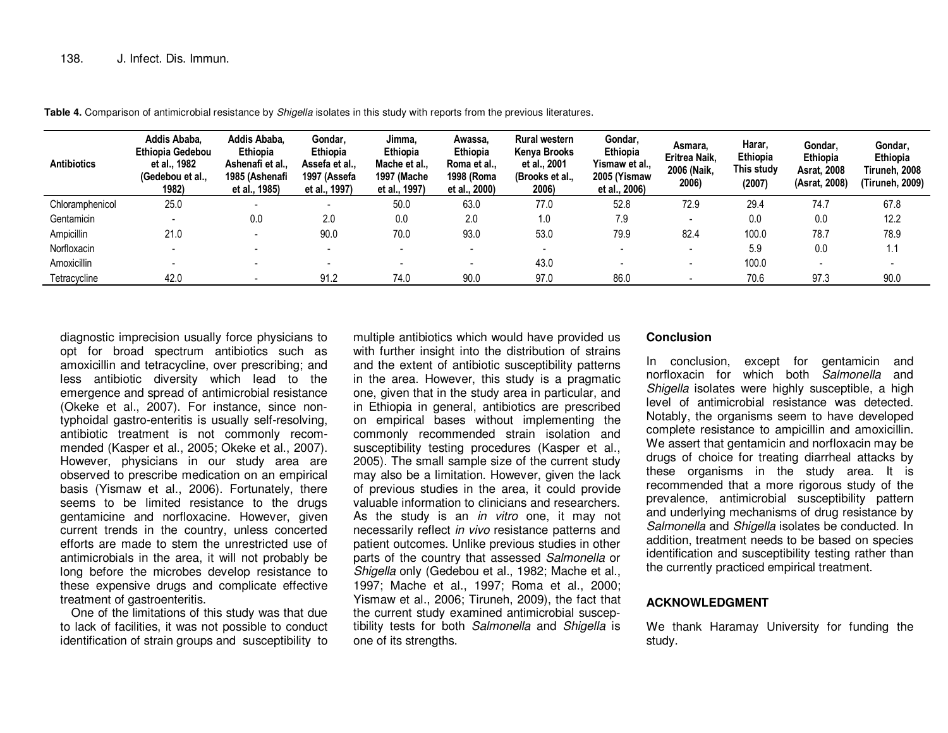| <b>Antibiotics</b> | Addis Ababa.<br><b>Ethiopia Gedebou</b><br>et al., 1982<br>(Gedebou et al.,<br>1982) | Addis Ababa.<br>Ethiopia<br>Ashenafi et al.,<br>1985 (Ashenafi<br>et al., 1985) | Gondar.<br><b>Ethiopia</b><br>Assefa et al.,<br>1997 (Assefa<br>et al., 1997) | Jimma.<br>Ethiopia<br>Mache et al.,<br><b>1997 (Mache)</b><br>et al., 1997) | Awassa.<br>Ethiopia<br>Roma et al.,<br>1998 (Roma<br>et al., 2000) | Rural western<br>Kenya Brooks<br>et al., 2001<br>(Brooks et al.,<br>2006) | Gondar,<br>Ethiopia<br>Yismaw et al.,<br>2005 (Yismaw<br>et al., 2006) | Asmara.<br>Eritrea Naik.<br>2006 (Naik.<br>2006) | <b>Harar</b><br>Ethiopia<br>This studv<br>(2007) | Gondar.<br>Ethiopia<br><b>Asrat, 2008</b><br>(Asrat, 2008) | Gondar,<br>Ethiopia<br>Tiruneh. 2008<br>(Tiruneh, 2009) |
|--------------------|--------------------------------------------------------------------------------------|---------------------------------------------------------------------------------|-------------------------------------------------------------------------------|-----------------------------------------------------------------------------|--------------------------------------------------------------------|---------------------------------------------------------------------------|------------------------------------------------------------------------|--------------------------------------------------|--------------------------------------------------|------------------------------------------------------------|---------------------------------------------------------|
| Chloramphenicol    | 25.0                                                                                 |                                                                                 | $\overline{\phantom{0}}$                                                      | 50.0                                                                        | 63.0                                                               | 77.0                                                                      | 52.8                                                                   | 72.9                                             | 29.4                                             | 74.7                                                       | 67.8                                                    |
| Gentamicin         |                                                                                      | 0.0                                                                             | 2.0                                                                           | 0.0                                                                         | 2.0                                                                | 1.0                                                                       | 7.9                                                                    | $\overline{\phantom{0}}$                         | 0.0                                              | 0.0                                                        | 12.2                                                    |
| Ampicillin         | 21.0                                                                                 |                                                                                 | 90.0                                                                          | 70.0                                                                        | 93.0                                                               | 53.0                                                                      | 79.9                                                                   | 82.4                                             | 100.0                                            | 78.7                                                       | 78.9                                                    |
| Norfloxacin        |                                                                                      |                                                                                 |                                                                               |                                                                             |                                                                    |                                                                           |                                                                        | $\overline{\phantom{0}}$                         | 5.9                                              | 0.0                                                        | 1.1                                                     |
| Amoxicillin        |                                                                                      |                                                                                 |                                                                               |                                                                             |                                                                    | 43.0                                                                      |                                                                        | $\blacksquare$                                   | 100.0                                            | -                                                          |                                                         |
| Tetracycline       | 42.0                                                                                 |                                                                                 | 91.2                                                                          | 74.0                                                                        | 90.0                                                               | 97.0                                                                      | 86.0                                                                   | $\overline{\phantom{0}}$                         | 70.6                                             | 97.3                                                       | 90.0                                                    |

**Table 4.** Comparison of antimicrobial resistance by Shigella isolates in this study with reports from the previous literatures.

diagnostic imprecision usually force physicians to opt for broad spectrum antibiotics such as amoxicillin and tetracycline, over prescribing; and less antibiotic diversity which lead to the emergence and spread of antimicrobial resistance (Okeke et al., 2007). For instance, since nontyphoidal gastro-enteritis is usually self-resolving, antibiotic treatment is not commonly recommended (Kasper et al., 2005; Okeke et al., 2007). However, physicians in our study area are observed to prescribe medication on an empirical basis (Yismaw et al., 2006). Fortunately, there seems to be limited resistance to the drugs gentamicine and norfloxacine. However, given current trends in the country, unless concerted efforts are made to stem the unrestricted use of antimicrobials in the area, it will not probably be long before the microbes develop resistance to these expensive drugs and complicate effective treatment of gastroenteritis.

 One of the limitations of this study was that due to lack of facilities, it was not possible to conduct identification of strain groups and susceptibility to

multiple antibiotics which would have provided us with further insight into the distribution of strains and the extent of antibiotic susceptibility patterns in the area. However, this study is a pragmatic one, given that in the study area in particular, and in Ethiopia in general, antibiotics are prescribed on empirical bases without implementing the commonly recommended strain isolation and susceptibility testing procedures (Kasper et al., 2005). The small sample size of the current study may also be a limitation. However, given the lack of previous studies in the area, it could provide valuable information to clinicians and researchers. As the study is an in vitro one, it may not necessarily reflect in vivo resistance patterns and patient outcomes. Unlike previous studies in other parts of the country that assessed Salmonella or Shigella only (Gedebou et al., 1982; Mache et al., 1997; Mache et al., 1997; Roma et al., 2000; Yismaw et al., 2006; Tiruneh, 2009), the fact that the current study examined antimicrobial susceptibility tests for both Salmonella and Shigella is one of its strengths.

## **Conclusion**

In conclusion, except for gentamicin and norfloxacin for which both Salmonella and Shigella isolates were highly susceptible, a high level of antimicrobial resistance was detected. Notably, the organisms seem to have developed complete resistance to ampicillin and amoxicillin. We assert that gentamicin and norfloxacin may be drugs of choice for treating diarrheal attacks by these organisms in the study area. It is recommended that a more rigorous study of the prevalence, antimicrobial susceptibility pattern and underlying mechanisms of drug resistance by Salmonella and Shigella isolates be conducted. In addition, treatment needs to be based on species identification and susceptibility testing rather than the currently practiced empirical treatment.

## **ACKNOWLEDGMENT**

We thank Haramay University for funding the study.